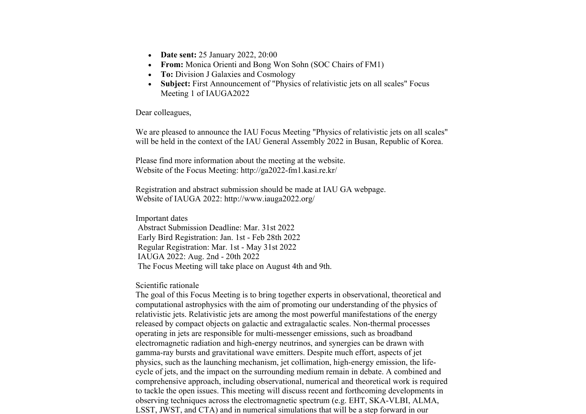- **Date sent:** 25 January 2022, 20:00
- **From:** Monica Orienti and Bong Won Sohn (SOC Chairs of FM1)
- **To:** Division J Galaxies and Cosmology
- **Subject:** First Announcement of "Physics of relativistic jets on all scales" Focus Meeting 1 of IAUGA2022

Dear colleagues,

We are pleased to announce the IAU Focus Meeting "Physics of relativistic jets on all scales" will be held in the context of the IAU General Assembly 2022 in Busan, Republic of Korea.

Please find more information about the meeting at the website. Website of the Focus Meeting: http://ga2022-fm1.kasi.re.kr/

Registration and abstract submission should be made at IAU GA webpage. Website of IAUGA 2022: http://www.iauga2022.org/

Important dates Abstract Submission Deadline: Mar. 31st 2022 Early Bird Registration: Jan. 1st - Feb 28th 2022 Regular Registration: Mar. 1st - May 31st 2022 IAUGA 2022: Aug. 2nd - 20th 2022 The Focus Meeting will take place on August 4th and 9th.

Scientific rationale

The goal of this Focus Meeting is to bring together experts in observational, theoretical and computational astrophysics with the aim of promoting our understanding of the physics of relativistic jets. Relativistic jets are among the most powerful manifestations of the energy released by compact objects on galactic and extragalactic scales. Non-thermal processes operating in jets are responsible for multi-messenger emissions, such as broadband electromagnetic radiation and high-energy neutrinos, and synergies can be drawn with gamma-ray bursts and gravitational wave emitters. Despite much effort, aspects of jet physics, such as the launching mechanism, jet collimation, high-energy emission, the lifecycle of jets, and the impact on the surrounding medium remain in debate. A combined and comprehensive approach, including observational, numerical and theoretical work is required to tackle the open issues. This meeting will discuss recent and forthcoming developments in observing techniques across the electromagnetic spectrum (e.g. EHT, SKA-VLBI, ALMA, LSST, JWST, and CTA) and in numerical simulations that will be a step forward in our